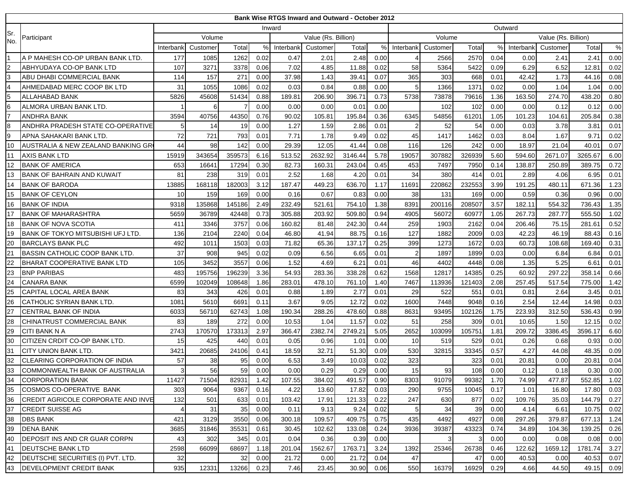|                                            |                                           |                |          |        |      |           | <b>Bank Wise RTGS Inward and Outward - October 2012</b> |         |      |                |          |                   |               |           |                     |         |      |
|--------------------------------------------|-------------------------------------------|----------------|----------|--------|------|-----------|---------------------------------------------------------|---------|------|----------------|----------|-------------------|---------------|-----------|---------------------|---------|------|
|                                            |                                           |                |          |        |      | Inward    |                                                         |         |      | Outward        |          |                   |               |           |                     |         |      |
| Sr.<br>No.                                 | Participant                               | Volume         |          |        |      |           | Value (Rs. Billion)                                     |         |      |                | Volume   |                   |               |           | Value (Rs. Billion) |         |      |
|                                            |                                           | Interban       | Customer | Total  | %    | Interbank | Customer                                                | Total   | $\%$ | Interbank      | Customer | Total             |               | Interbank | Customer            | Total   | $\%$ |
|                                            | A P MAHESH CO-OP URBAN BANK LTD.          | 177            | 1085     | 1262   | 0.02 | 0.47      | 2.01                                                    | 2.48    | 0.00 | 4              | 2566     | 2570              | 0.04          | 0.00      | 2.41                | 2.41    | 0.00 |
| $\frac{2}{3}$                              | ABHYUDAYA CO-OP BANK LTD                  | 107            | 3271     | 3378   | 0.06 | 7.02      | 4.85                                                    | 11.88   | 0.02 | 58             | 5364     | 5422              | 0.09          | 6.29      | 6.52                | 12.81   | 0.02 |
|                                            | ABU DHABI COMMERCIAL BANK                 | 114            | 157      | 271    | 0.00 | 37.98     | 1.43                                                    | 39.41   | 0.07 | 365            | 303      | 668               | 0.01          | 42.42     | 1.73                | 44.16   | 0.08 |
| $\overline{\mathbf{4}}$                    | AHMEDABAD MERC COOP BK LTD                | 31             | 1055     | 1086   | 0.02 | 0.03      | 0.84                                                    | 0.88    | 0.00 | -5             | 1366     | 137'              | 0.02          | 0.00      | 1.04                | 1.04    | 0.00 |
|                                            | ALLAHABAD BANK                            | 5826           | 45608    | 51434  | 0.88 | 189.81    | 206.90                                                  | 396.71  | 0.73 | 5738           | 73878    | 79616             | 1.36          | 163.50    | 274.70              | 438.20  | 0.80 |
| $\begin{array}{c} 5 \\ 6 \\ 7 \end{array}$ | ALMORA URBAN BANK LTD                     |                | 6        |        | 0.00 | 0.00      | 0.00                                                    | 0.01    | 0.00 |                | 102      | 102               | 0.00          | 0.00      | 0.12                | 0.12    | 0.00 |
|                                            | <b>ANDHRA BANK</b>                        | 3594           | 40756    | 44350  | 0.76 | 90.02     | 105.81                                                  | 195.84  | 0.36 | 6345           | 54856    | 6120 <sup>-</sup> | 1.05          | 101.23    | 104.61              | 205.84  | 0.38 |
| $\bf{8}$                                   | ANDHRA PRADESH STATE CO-OPERATIVE         |                | 14       | 19     | 0.00 | 1.27      | 1.59                                                    | 2.86    | 0.01 | $\overline{2}$ | 52       | 54                | 0.00          | 0.03      | 3.78                | 3.81    | 0.01 |
| 9                                          | APNA SAHAKARI BANK LTD.                   | 72             | 721      | 793    | 0.01 | 7.71      | 1.78                                                    | 9.49    | 0.02 | 45             | 1417     | 1462              | 0.03          | 8.04      | 1.67                | 9.71    | 0.02 |
| 10                                         | AUSTRALIA & NEW ZEALAND BANKING GR        | 44             | 98       | 142    | 0.00 | 29.39     | 12.05                                                   | 41.44   | 0.08 | 116            | 126      | 242               | 0.00          | 18.97     | 21.04               | 40.01   | 0.07 |
| 11                                         | AXIS BANK LTD                             | 15919          | 343654   | 359573 | 6.16 | 513.52    | 2632.92                                                 | 3146.44 | 5.78 | 19057          | 307882   | 326939            | 5.60          | 594.60    | 2671.07             | 3265.67 | 6.00 |
| 12                                         | <b>BANK OF AMERICA</b>                    | 653            | 16641    | 17294  | 0.30 | 82.73     | 160.31                                                  | 243.04  | 0.45 | 453            | 7497     | 7950              | 0.14          | 138.87    | 250.89              | 389.75  | 0.72 |
| 13                                         | <b>BANK OF BAHRAIN AND KUWAIT</b>         | 81             | 238      | 319    | 0.01 | 2.52      | 1.68                                                    | 4.20    | 0.01 | 34             | 380      | 414               | 0.01          | 2.89      | 4.06                | 6.95    | 0.01 |
| 14                                         | <b>BANK OF BARODA</b>                     | 13885          | 168118   | 182003 | 3.12 | 187.47    | 449.23                                                  | 636.70  | 1.17 | 11691          | 220862   | 232553            | 3.99          | 191.25    | 480.11              | 671.36  | 1.23 |
| 15                                         | <b>BANK OF CEYLON</b>                     | 10             | 159      | 169    | 0.00 | 0.16      | 0.67                                                    | 0.83    | 0.00 | 38             | 131      | 169               | 0.00          | 0.59      | 0.36                | 0.96    | 0.00 |
| 16                                         | <b>BANK OF INDIA</b>                      | 9318           | 135868   | 145186 | 2.49 | 232.49    | 521.61                                                  | 754.10  | 1.38 | 8391           | 200116   | 208507            | 3.57          | 182.11    | 554.32              | 736.43  | 1.35 |
| 17                                         | <b>BANK OF MAHARASHTRA</b>                | 5659           | 36789    | 42448  | 0.73 | 305.88    | 203.92                                                  | 509.80  | 0.94 | 4905           | 56072    | 60977             | 1.05          | 267.73    | 287.77              | 555.50  | 1.02 |
| 18                                         | <b>BANK OF NOVA SCOTIA</b>                | 411            | 3346     | 3757   | 0.06 | 160.82    | 81.48                                                   | 242.30  | 0.44 | 259            | 1903     | 2162              | 0.04          | 206.46    | 75.15               | 281.61  | 0.52 |
| 19                                         | <b>BANK OF TOKYO MITSUBISHI UFJ LTD.</b>  | 136            | 2104     | 2240   | 0.04 | 46.80     | 41.94                                                   | 88.75   | 0.16 | 127            | 1882     | 2009              | 0.03          | 42.23     | 46.19               | 88.43   | 0.16 |
| 20                                         | <b>BARCLAYS BANK PLC</b>                  | 492            | 1011     | 1503   | 0.03 | 71.82     | 65.36                                                   | 137.17  | 0.25 | 399            | 1273     | 1672              | 0.03          | 60.73     | 108.68              | 169.40  | 0.31 |
| 21                                         | <b>BASSIN CATHOLIC COOP BANK LTD.</b>     | 37             | 908      | 945    | 0.02 | 0.09      | 6.56                                                    | 6.65    | 0.01 | 2              | 1897     | 1899              | 0.03          | 0.00      | 6.84                | 6.84    | 0.01 |
| $\frac{22}{23}$                            | <b>BHARAT COOPERATIVE BANK LTD</b>        | 105            | 3452     | 3557   | 0.06 | 1.52      | 4.69                                                    | 6.21    | 0.01 | 46             | 4402     | 4448              | 0.08          | 1.35      | 5.25                | 6.61    | 0.01 |
|                                            | <b>BNP PARIBAS</b>                        | 483            | 195756   | 196239 | 3.36 | 54.93     | 283.36                                                  | 338.28  | 0.62 | 1568           | 12817    | 14385             | 0.25          | 60.92     | 297.22              | 358.14  | 0.66 |
| 24                                         | <b>CANARA BANK</b>                        | 6599           | 102049   | 108648 | 1.86 | 283.01    | 478.10                                                  | 761.10  | 1.40 | 7467           | 113936   | 121403            | 2.08          | 257.45    | 517.54              | 775.00  | 1.42 |
| 25                                         | CAPITAL LOCAL AREA BANK                   | 83             | 343      | 426    | 0.01 | 0.88      | 1.89                                                    | 2.77    | 0.01 | 29             | 522      | 551               | 0.01          | 0.81      | 2.64                | 3.45    | 0.01 |
| 26                                         | CATHOLIC SYRIAN BANK LTD.                 | 1081           | 5610     | 6691   | 0.11 | 3.67      | 9.05                                                    | 12.72   | 0.02 | 1600           | 7448     | 9048              | 0.16          | 2.54      | 12.44               | 14.98   | 0.03 |
| 27                                         | ICENTRAL BANK OF INDIA                    | 6033           | 56710    | 62743  | 1.08 | 190.34    | 288.26                                                  | 478.60  | 0.88 | 8631           | 93495    | 102126            | 1.75          | 223.93    | 312.50              | 536.43  | 0.99 |
| 28                                         | CHINATRUST COMMERCIAL BANK                | 83             | 189      | 272    | 0.00 | 10.53     | 1.04                                                    | 11.57   | 0.02 | 51             | 258      | 309               | 0.01          | 10.65     | 1.50                | 12.15   | 0.02 |
| 29                                         | <b>CITI BANK N A</b>                      | 2743           | 170570   | 173313 | 2.97 | 366.47    | 2382.74                                                 | 2749.21 | 5.05 | 2652           | 103099   | 10575             | $1.8^{\circ}$ | 209.72    | 3386.45             | 3596.17 | 6.60 |
| 30                                         | <b>CITIZEN CRDIT CO-OP BANK LTD.</b>      | 15             | 425      | 440    | 0.01 | 0.05      | 0.96                                                    | 1.01    | 0.00 | 10             | 519      | 529               | 0.01          | 0.26      | 0.68                | 0.93    | 0.00 |
| 31                                         | <b>CITY UNION BANK LTD</b>                | 3421           | 20685    | 24106  | 0.41 | 18.59     | 32.71                                                   | 51.30   | 0.09 | 530            | 32815    | 33345             | 0.57          | 4.27      | 44.08               | 48.35   | 0.09 |
| 32                                         | <b>CLEARING CORPORATION OF INDIA</b>      | 57             | 38       | 95     | 0.00 | 6.53      | 3.49                                                    | 10.03   | 0.02 | 323            |          | 323               | 0.01          | 20.81     | 0.00                | 20.81   | 0.04 |
| 33                                         | COMMONWEALTH BANK OF AUSTRALIA            | 3 <sup>l</sup> | 56       | 59     | 0.00 | 0.00      | 0.29                                                    | 0.29    | 0.00 | 15             | 93       | 108               | 0.00          | 0.12      | 0.18                | 0.30    | 0.00 |
| 34                                         | <b>CORPORATION BANK</b>                   | 11427          | 71504    | 82931  | 1.42 | 107.55    | 384.02                                                  | 491.57  | 0.90 | 8303           | 91079    | 99382             | 1.70          | 74.99     | 477.87              | 552.85  | 1.02 |
| 35                                         | COSMOS CO-OPERATIVE BANK                  | 303            | 9064     | 9367   | 0.16 | 4.22      | 13.60                                                   | 17.82   | 0.03 | 290            | 9755     | 10045             | 0.17          | 1.01      | 16.80               | 17.80   | 0.03 |
| 36                                         | <b>CREDIT AGRICOLE CORPORATE AND INVE</b> | 132            | 501      | 633    | 0.01 | 103.42    | 17.91                                                   | 121.33  | 0.22 | 247            | 630      | 877               | 0.02          | 109.76    | 35.03               | 144.79  | 0.27 |
| 37                                         | <b>CREDIT SUISSE AG</b>                   | $\overline{4}$ | 31       | 35     | 0.00 | 0.11      | 9.13                                                    | 9.24    | 0.02 | 5              | 34       | 39                | 0.00          | 4.14      | 6.61                | 10.75   | 0.02 |
| 38                                         | <b>DBS BANK</b>                           | 421            | 3129     | 3550   | 0.06 | 300.18    | 109.57                                                  | 409.75  | 0.75 | 435            | 4492     | 4927              | 0.08          | 297.26    | 379.87              | 677.13  | 1.24 |
| 39                                         | <b>DENA BANK</b>                          | 3685           | 31846    | 35531  | 0.61 | 30.45     | 102.62                                                  | 133.08  | 0.24 | 3936           | 39387    | 43323             | 0.74          | 34.89     | 104.36              | 139.25  | 0.26 |
| 40                                         | DEPOSIT INS AND CR GUAR CORPN             | 43             | 302      | 345    | 0.01 | 0.04      | 0.36                                                    | 0.39    | 0.00 |                | 3        |                   | 0.00          | 0.00      | 0.08                | 0.08    | 0.00 |
| 41                                         | <b>DEUTSCHE BANK LTD</b>                  | 2598           | 66099    | 68697  | 1.18 | 201.04    | 1562.67                                                 | 1763.71 | 3.24 | 1392           | 25346    | 26738             | 0.46          | 122.62    | 1659.12             | 1781.74 | 3.27 |
| 42                                         | DEUTSCHE SECURITIES (I) PVT. LTD.         | 32             |          | 32     | 0.00 | 21.72     | 0.00                                                    | 21.72   | 0.04 | 47             |          | 47                | 0.00          | 40.53     | 0.00                | 40.53   | 0.07 |
| 43                                         | <b>DEVELOPMENT CREDIT BANK</b>            | 935            | 12331    | 13266  | 0.23 | 7.46      | 23.45                                                   | 30.90   | 0.06 | 550            | 16379    | 16929             | 0.29          | 4.66      | 44.50               | 49.15   | 0.09 |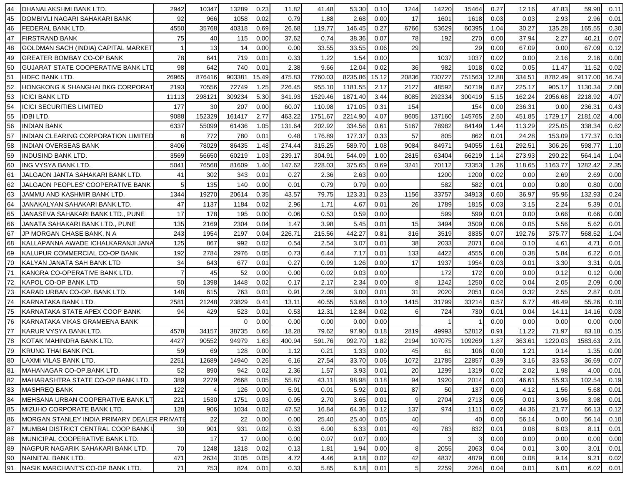| 44  | DHANALAKSHMI BANK LTD.                      | 2942  | 10347           | 13289  | 0.23  | 11.82  | 41.48   | 53.30   | 0.10  | 1244           | 14220  | 15464  | 0.27  | 12.16  | 47.83   | 59.98   | 0.11       |
|-----|---------------------------------------------|-------|-----------------|--------|-------|--------|---------|---------|-------|----------------|--------|--------|-------|--------|---------|---------|------------|
| 45  | DOMBIVLI NAGARI SAHAKARI BANK               | 92    | 966             | 1058   | 0.02  | 0.79   | 1.88    | 2.68    | 0.00  | 17             | 1601   | 1618   | 0.03  | 0.03   | 2.93    | 2.96    | 0.01       |
| 46  | FEDERAL BANK LTD.                           | 4550  | 35768           | 40318  | 0.69  | 26.68  | 119.77  | 146.45  | 0.27  | 6766           | 53629  | 60395  | 1.04  | 30.27  | 135.28  | 165.55  | 0.30       |
| 47  | <b>FIRSTRAND BANK</b>                       | 75    | 40              | 115    | 0.00  | 37.62  | 0.74    | 38.36   | 0.07  | 78             | 192    | 270    | 0.00  | 37.94  | 2.27    | 40.21   | 0.07       |
| 48  | GOLDMAN SACH (INDIA) CAPITAL MARKET         |       | 13              | 14     | 0.00  | 0.00   | 33.55   | 33.55   | 0.06  | 29             |        | 29     | 0.00  | 67.09  | 0.00    | 67.09   | 0.12       |
| 49  | <b>GREATER BOMBAY CO-OP BANK</b>            | 78    | 641             | 719    | 0.01  | 0.33   | 1.22    | 1.54    | 0.00  |                | 1037   | 1037   | 0.02  | 0.00   | 2.16    | 2.16    | 0.00       |
| 50  | <b>GUJARAT STATE COOPERATIVE BANK LTD</b>   | 98    | 642             | 740    | 0.01  | 2.38   | 9.66    | 12.04   | 0.02  | 36             | 982    | 1018   | 0.02  | 0.05   | 11.47   | 11.52   | 0.02       |
| 51  | <b>HDFC BANK LTD.</b>                       | 26965 | 876416          | 903381 | 15.49 | 475.83 | 7760.03 | 8235.86 | 15.12 | 20836          | 730727 | 751563 | 12.88 | 334.51 | 8782.49 | 9117.00 | 16.74      |
| 52  | <b>HONGKONG &amp; SHANGHAI BKG CORPORAT</b> | 2193  | 70556           | 72749  | 1.25  | 226.45 | 955.10  | 1181.55 | 2.17  | 2127           | 48592  | 50719  | 0.87  | 225.17 | 905.17  | 1130.34 | 2.08       |
| 53  | <b>ICICI BANK LTD</b>                       | 11113 | 298121          | 309234 | 5.30  | 341.93 | 1529.46 | 1871.40 | 3.44  | 8085           | 292334 | 300419 | 5.15  | 162.24 | 2056.68 | 2218.92 | 4.07       |
| 54  | <b>ICICI SECURITIES LIMITED</b>             | 177   | 30 <sup>1</sup> | 207    | 0.00  | 60.07  | 110.98  | 171.05  | 0.31  | 154            |        | 154    | 0.00  | 236.31 | 0.00    | 236.31  | 0.43       |
| 55  | <b>IDBILTD.</b>                             | 9088  | 152329          | 161417 | 2.77  | 463.22 | 1751.67 | 2214.90 | 4.07  | 8605           | 137160 | 145765 | 2.50  | 451.85 | 1729.17 | 2181.02 | 4.00       |
| 56  | <b>INDIAN BANK</b>                          | 6337  | 55099           | 61436  | 1.05  | 131.64 | 202.92  | 334.56  | 0.61  | 5167           | 78982  | 84149  | 1.44  | 113.29 | 225.05  | 338.34  | 0.62       |
| 57  | INDIAN CLEARING CORPORATION LIMITED         | 8     | 772             | 780    | 0.01  | 0.48   | 176.89  | 177.37  | 0.33  | 57             | 805    | 862    | 0.01  | 24.28  | 153.09  | 177.37  | 0.33       |
| 58  | INDIAN OVERSEAS BANK                        | 8406  | 78029           | 86435  | 1.48  | 274.44 | 315.25  | 589.70  | 1.08  | 9084           | 84971  | 94055  | 1.61  | 292.51 | 306.26  | 598.77  | 1.10       |
| 59  | <b>INDUSIND BANK LTD.</b>                   | 3569  | 56650           | 60219  | 1.03  | 239.17 | 304.91  | 544.09  | 1.00  | 2815           | 63404  | 66219  | 1.14  | 273.93 | 290.22  | 564.14  | 1.04       |
| 60  | ING VYSYA BANK LTD.                         | 5041  | 76568           | 81609  | 1.40  | 147.62 | 228.03  | 375.65  | 0.69  | 3241           | 70112  | 73353  | 1.26  | 118.65 | 1163.77 | 1282.42 | 2.35       |
| 61  | JALGAON JANTA SAHAKARI BANK LTD.            | 41    | 302             | 343    | 0.01  | 0.27   | 2.36    | 2.63    | 0.00  |                | 1200   | 1200   | 0.02  | 0.00   | 2.69    | 2.69    | 0.00       |
| 62  | JALGAON PEOPLES' COOPERATIVE BANK           | 5     | 135             | 140    | 0.00  | 0.01   | 0.79    | 0.79    | 0.00  |                | 582    | 582    | 0.01  | 0.00   | 0.80    | 0.80    | 0.00       |
| 63  | JAMMU AND KASHMIR BANK LTD.                 | 1344  | 19270           | 20614  | 0.35  | 43.57  | 79.75   | 123.31  | 0.23  | 1156           | 33757  | 34913  | 0.60  | 36.97  | 95.96   | 132.93  | 0.24       |
| 64  | JANAKALYAN SAHAKARI BANK LTD.               | 47    | 1137            | 1184   | 0.02  | 2.96   | 1.71    | 4.67    | 0.01  | 26             | 1789   | 1815   | 0.03  | 3.15   | 2.24    | 5.39    | 0.01       |
| 65  | JANASEVA SAHAKARI BANK LTD., PUNE           | 17    | 178             | 195    | 0.00  | 0.06   | 0.53    | 0.59    | 0.00  |                | 599    | 599    | 0.01  | 0.00   | 0.66    | 0.66    | 0.00       |
| 66  | JANATA SAHAKARI BANK LTD., PUNE             | 135   | 2169            | 2304   | 0.04  | 1.47   | 3.98    | 5.45    | 0.01  | 15             | 3494   | 3509   | 0.06  | 0.05   | 5.56    | 5.62    | 0.01       |
| 67  | JP MORGAN CHASE BANK, N A                   | 243   | 1954            | 2197   | 0.04  | 226.71 | 215.56  | 442.27  | 0.81  | 316            | 3519   | 3835   | 0.07  | 192.76 | 375.77  | 568.52  | 1.04       |
| 68  | KALLAPANNA AWADE ICHALKARANJI JANA          | 125   | 867             | 992    | 0.02  | 0.54   | 2.54    | 3.07    | 0.01  | 38             | 2033   | 2071   | 0.04  | 0.10   | 4.61    | 4.71    | 0.01       |
| 69  | IKALUPUR COMMERCIAL CO-OP BANK              | 192   | 2784            | 2976   | 0.05  | 0.73   | 6.44    | 7.17    | 0.01  | 133            | 4422   | 4555   | 0.08  | 0.38   | 5.84    | 6.22    | 0.01       |
| 70  | KALYAN JANATA SAH BANK LTD                  | 34    | 643             | 677    | 0.01  | 0.27   | 0.99    | 1.26    | 0.00  | 17             | 1937   | 1954   | 0.03  | 0.01   | 3.30    | 3.31    | 0.01       |
| 71  | KANGRA CO-OPERATIVE BANK LTD.               |       | 45              | 52     | 0.00  | 0.00   | 0.02    | 0.03    | 0.00  |                | 172    | 172    | 0.00  | 0.00   | 0.12    | 0.12    | 0.00       |
| 72  | KAPOL CO-OP BANK LTD                        | 50    | 1398            | 1448   | 0.02  | 0.17   | 2.17    | 2.34    | 0.00  | 8              | 1242   | 1250   | 0.02  | 0.04   | 2.05    | 2.09    | 0.00       |
| 73  | KARAD URBAN CO-OP. BANK LTD.                | 148   | 615             | 763    | 0.01  | 0.91   | 2.09    | 3.00    | 0.01  | 31             | 2020   | 2051   | 0.04  | 0.32   | 2.55    | 2.87    | 0.01       |
| 74  | KARNATAKA BANK LTD                          | 2581  | 21248           | 23829  | 0.41  | 13.11  | 40.55   | 53.66   | 0.10  | 1415           | 31799  | 33214  | 0.57  | 6.77   | 48.49   | 55.26   | 0.10       |
| 75  | KARNATAKA STATE APEX COOP BANK              | 94    | 429             | 523    | 0.01  | 0.53   | 12.31   | 12.84   | 0.02  | 6              | 724    | 730    | 0.01  | 0.04   | 14.11   | 14.16   | 0.03       |
| 76  | KARNATAKA VIKAS GRAMEENA BANK               |       |                 |        | 0.00  | 0.00   | 0.00    | 0.00    | 0.00  |                |        |        | 0.00  | 0.00   | 0.00    | 0.00    | 0.00       |
| 177 | KARUR VYSYA BANK LTD.                       | 4578  | 34157           | 38735  | 0.66  | 18.28  | 79.62   | 97.90   | 0.18  | 2819           | 49993  | 52812  | 0.91  | 11.22  | 71.97   | 83.18   | 0.15       |
| 78  | KOTAK MAHINDRA BANK LTD.                    | 4427  | 90552           | 94979  | 1.63  | 400.94 | 591.76  | 992.70  | 1.82  | 2194           | 107075 | 109269 | 1.87  | 363.61 | 1220.03 | 1583.63 | 2.91       |
| 79  | <b>KRUNG THAI BANK PCL</b>                  | 59    | 69              | 128    | 0.00  | 1.12   | 0.21    | 1.33    | 0.00  | 45             | 61     | 106    | 0.00  | 1.21   | 0.14    | 1.35    | 0.00       |
| 80  | LAXMI VILAS BANK LTD.                       | 2251  | 12689           | 14940  | 0.26  | 6.16   | 27.54   | 33.70   | 0.06  | 1072           | 21785  | 22857  | 0.39  | 3.16   | 33.53   | 36.69   | 0.07       |
| 81  | MAHANAGAR CO-OP.BANK LTD.                   | 52    | 890             | 942    | 0.02  | 2.36   | 1.57    | 3.93    | 0.01  | 20             | 1299   | 1319   | 0.02  | 2.02   | 1.98    | 4.00    | 0.01       |
| 82  | MAHARASHTRA STATE CO-OP BANK LTD.           | 389   | 2279            | 2668   | 0.05  | 55.87  | 43.11   | 98.98   | 0.18  | 94             | 1920   | 2014   | 0.03  | 46.61  | 55.93   | 102.54  | 0.19       |
| 83  | <b>MASHREQ BANK</b>                         | 122   | $\overline{4}$  | 126    | 0.00  | 5.91   | 0.01    | 5.92    | 0.01  | 87             | 50     | 137    | 0.00  | 4.12   | 1.56    | 5.68    | 0.01       |
| 84  | MEHSANA URBAN COOPERATIVE BANK LT           | 221   | 1530            | 1751   | 0.03  | 0.95   | 2.70    | 3.65    | 0.01  | 9              | 2704   | 2713   | 0.05  | 0.01   | 3.96    | 3.98    | 0.01       |
| 85  | MIZUHO CORPORATE BANK LTD.                  | 128   | 906             | 1034   | 0.02  | 47.52  | 16.84   | 64.36   | 0.12  | 137            | 974    | 1111   | 0.02  | 44.36  | 21.77   | 66.13   | 0.12       |
| 86  | MORGAN STANLEY INDIA PRIMARY DEALER PRIVATE |       | 22              | 22     | 0.00  | 0.00   | 25.40   | 25.40   | 0.05  | 40             |        | 40     | 0.00  | 56.14  | 0.00    | 56.14   | 0.10       |
| 87  | MUMBAI DISTRICT CENTRAL COOP BANK L         | 30    | 901             | 931    | 0.02  | 0.33   | 6.00    | 6.33    | 0.01  | 49             | 783    | 832    | 0.01  | 0.08   | 8.03    | 8.11    | 0.01       |
| 88  | MUNICIPAL COOPERATIVE BANK LTD.             |       | 17              | 17     | 0.00  | 0.00   | 0.07    | 0.07    | 0.00  |                |        | 3      | 0.00  | 0.00   | 0.00    | 0.00    | 0.00       |
| 89  | NAGPUR NAGARIK SAHAKARI BANK LTD.           | 70    | 1248            | 1318   | 0.02  | 0.13   | 1.81    | 1.94    | 0.00  | 8 <sup>1</sup> | 2055   | 2063   | 0.04  | 0.01   | 3.00    | 3.01    | 0.01       |
| 90  | NAINITAL BANK LTD.                          | 471   | 2634            | 3105   | 0.05  | 4.72   | 4.46    | 9.18    | 0.02  | 42             | 4837   | 4879   | 0.08  | 0.08   | 9.14    | 9.21    | 0.02       |
| 91  | NASIK MARCHANT'S CO-OP BANK LTD.            | 71    | 753             | 824    | 0.01  | 0.33   | 5.85    | 6.18    | 0.01  | 5 <sub>5</sub> | 2259   | 2264   | 0.04  | 0.01   | 6.01    |         | 6.02  0.01 |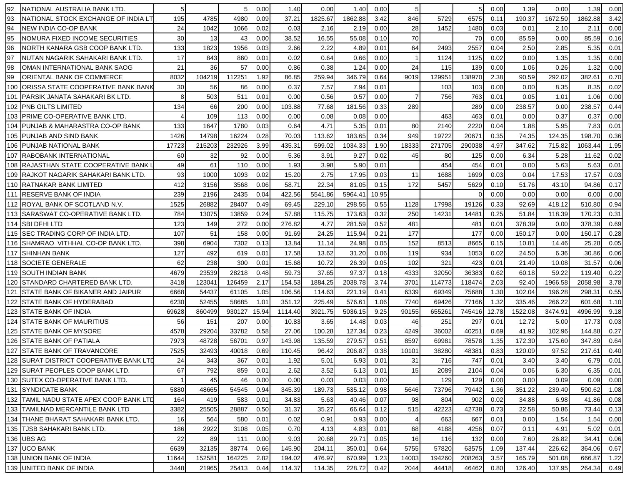| 92  | NATIONAL AUSTRALIA BANK LTD                |       |        |        | 0.00  | 1.40    | 0.00    | 1.40    | 0.00  |       |        | 5        | 0.00  | 1.39           | 0.00    | 1.39    | 0.00 |
|-----|--------------------------------------------|-------|--------|--------|-------|---------|---------|---------|-------|-------|--------|----------|-------|----------------|---------|---------|------|
| 93  | NATIONAL STOCK EXCHANGE OF INDIA LT        | 195   | 4785   | 4980   | 0.09  | 37.21   | 1825.67 | 1862.88 | 3.42  | 846   | 5729   | 6575     | 0.11  | 190.37         | 1672.50 | 1862.88 | 3.42 |
| 94  | NEW INDIA CO-OP BANK                       | 24    | 1042   | 1066   | 0.02  | 0.03    | 2.16    | 2.19    | 0.00  | 28    | 1452   | 1480     | 0.03  | $0.0^{\circ}$  | 2.10    | 2.11    | 0.00 |
| 95  | NOMURA FIXED INCOME SECURITIES             | 30    | 13     | 43     | 0.00  | 38.52   | 16.55   | 55.08   | 0.10  | 70    |        | 70       | 0.00  | 85.59          | 0.00    | 85.59   | 0.16 |
| 96  | NORTH KANARA GSB COOP BANK LTD.            | 133   | 1823   | 1956   | 0.03  | 2.66    | 2.22    | 4.89    | 0.01  | 64    | 2493   | 2557     | 0.04  | 2.50           | 2.85    | 5.35    | 0.01 |
| 97  | NUTAN NAGARIK SAHAKARI BANK LTD.           | 17    | 843    | 860    | 0.01  | 0.02    | 0.64    | 0.66    | 0.00  |       | 1124   | 1125     | 0.02  | 0.00           | 1.35    | 1.35    | 0.00 |
| 98  | OMAN INTERNATIONAL BANK SAOG               | 21    | 36     | 57     | 0.00  | 0.86    | 0.38    | 1.24    | 0.00  | 24    | 115    | 139      | 0.00  | 1.06           | 0.26    | 1.32    | 0.00 |
| 99  | ORIENTAL BANK OF COMMERCE                  | 8032  | 104219 | 112251 | 1.92  | 86.85   | 259.94  | 346.79  | 0.64  | 9019  | 129951 | 138970   | 2.38  | 90.59          | 292.02  | 382.61  | 0.70 |
| 100 | <b> ORISSA STATE COOPERATIVE BANK BANK</b> | 30    | 56     | 86     | 0.00  | 0.37    | 7.57    | 7.94    | 0.01  |       | 103    | 103      | 0.00  | 0.00           | 8.35    | 8.35    | 0.02 |
| 101 | <b>PARSIK JANATA SAHAKARI BK LTD.</b>      | 8     | 503    | 511    | 0.01  | 0.00    | 0.56    | 0.57    | 0.00  |       | 756    | 763      | 0.01  | 0.05           | 1.01    | 1.06    | 0.00 |
|     | 102 PNB GILTS LIMITED                      | 134   | 66     | 200    | 0.00  | 103.88  | 77.68   | 181.56  | 0.33  | 289   |        | 289      | 0.00  | 238.57         | 0.00    | 238.57  | 0.44 |
|     | 103 PRIME CO-OPERATIVE BANK LTD.           |       | 109    | 113    | 0.00  | 0.00    | 0.08    | 0.08    | 0.00  |       | 463    | 463      | 0.01  | 0.00           | 0.37    | 0.37    | 0.00 |
|     | 104 PUNJAB & MAHARASTRA CO-OP BANK         | 133   | 1647   | 1780   | 0.03  | 0.64    | 4.71    | 5.35    | 0.01  | 80    | 2140   | 2220     | 0.04  | 1.88           | 5.95    | 7.83    | 0.01 |
|     | 105 PUNJAB AND SIND BANK                   | 1426  | 14798  | 16224  | 0.28  | 70.03   | 113.62  | 183.65  | 0.34  | 949   | 19722  | 20671    | 0.35  | 74.35          | 124.35  | 198.70  | 0.36 |
| 106 | <b>PUNJAB NATIONAL BANK</b>                | 17723 | 215203 | 232926 | 3.99  | 435.31  | 599.02  | 1034.33 | 1.90  | 18333 | 271705 | 290038   | 4.97  | 347.62         | 715.82  | 1063.44 | 1.95 |
| 107 | <b>RABOBANK INTERNATIONAL</b>              | 60    | 32     | 92     | 0.00  | 5.36    | 3.91    | 9.27    | 0.02  | 45    | 80     | 125      | 0.00  | 6.34           | 5.28    | 11.62   | 0.02 |
| 108 | IRAJASTHAN STATE COOPERATIVE BANK L        | 49    | 61     | 110    | 0.00  | 1.93    | 3.98    | 5.90    | 0.01  |       | 454    | 454      | 0.01  | 0.00           | 5.63    | 5.63    | 0.01 |
|     | 109  RAJKOT NAGARIK SAHAKARI BANK LTD.     | 93    | 1000   | 1093   | 0.02  | 15.20   | 2.75    | 17.95   | 0.03  | 11    | 1688   | 1699     | 0.03  | 0.04           | 17.53   | 17.57   | 0.03 |
|     | 110 RATNAKAR BANK LIMITED                  | 412   | 3156   | 3568   | 0.06  | 58.71   | 22.34   | 81.05   | 0.15  | 172   | 5457   | 5629     | 0.10  | 51.76          | 43.10   | 94.86   | 0.17 |
|     | 111 RESERVE BANK OF INDIA                  | 239   | 2196   | 2435   | 0.04  | 422.56  | 5541.86 | 5964.4  | 10.95 |       |        | $\Omega$ | 0.00  | 0.00           | 0.00    | 0.00    | 0.00 |
|     | 112 IROYAL BANK OF SCOTLAND N.V.           | 1525  | 26882  | 28407  | 0.49  | 69.45   | 229.10  | 298.55  | 0.55  | 1128  | 17998  | 19126    | 0.33  | 92.69          | 418.12  | 510.80  | 0.94 |
|     | 113 SARASWAT CO-OPERATIVE BANK LTD.        | 784   | 13075  | 13859  | 0.24  | 57.88   | 115.75  | 173.63  | 0.32  | 250   | 14231  | 14481    | 0.25  | 51.84          | 118.39  | 170.23  | 0.31 |
|     | 114 SBI DFHI LTD                           | 123   | 149    | 272    | 0.00  | 276.82  | 4.77    | 281.59  | 0.52  | 481   |        | 481      | 0.01  | 378.39         | 0.00    | 378.39  | 0.69 |
|     | 115 SEC TRADING CORP OF INDIA LTD          | 107   | 51     | 158    | 0.00  | 91.69   | 24.25   | 115.94  | 0.21  | 177   |        | 177      | 0.00  | 150.17         | 0.00    | 150.17  | 0.28 |
|     | 116 SHAMRAO VITHHAL CO-OP BANK LTD.        | 398   | 6904   | 7302   | 0.13  | 13.84   | 11.14   | 24.98   | 0.05  | 152   | 8513   | 8665     | 0.15  | $10.8^{\circ}$ | 14.46   | 25.28   | 0.05 |
|     | 117 ISHINHAN BANK                          | 127   | 492    | 619    | 0.01  | 17.58   | 13.62   | 31.20   | 0.06  | 119   | 934    | 1053     | 0.02  | 24.50          | 6.36    | 30.86   | 0.06 |
|     | 118 SOCIETE GENERALE                       | 62    | 238    | 300    | 0.01  | 15.68   | 10.72   | 26.39   | 0.05  | 102   | 321    | 423      | 0.01  | 21.49          | 10.08   | 31.57   | 0.06 |
|     | <b>119 SOUTH INDIAN BANK</b>               | 4679  | 23539  | 28218  | 0.48  | 59.73   | 37.65   | 97.37   | 0.18  | 4333  | 32050  | 36383    | 0.62  | 60.18          | 59.22   | 119.40  | 0.22 |
|     | 120 STANDARD CHARTERED BANK LTD.           | 3418  | 123041 | 126459 | 2.17  | 154.53  | 1884.25 | 2038.78 | 3.74  | 3701  | 114773 | 118474   | 2.03  | 92.40          | 1966.58 | 2058.98 | 3.78 |
| 121 | <b>STATE BANK OF BIKANER AND JAIPUR</b>    | 6668  | 54437  | 61105  | 1.05  | 106.56  | 114.63  | 221.19  | 0.41  | 6339  | 69349  | 75688    | 1.30  | 102.04         | 196.28  | 298.31  | 0.55 |
| 122 | <b>STATE BANK OF HYDERABAD</b>             | 6230  | 52455  | 58685  | 1.01  | 351.12  | 225.49  | 576.61  | 1.06  | 7740  | 69426  | 77166    | 1.32  | 335.46         | 266.22  | 601.68  | 1.10 |
|     | 123 STATE BANK OF INDIA                    | 69628 | 860499 | 930127 | 15.94 | 1114.40 | 3921.75 | 5036.15 | 9.25  | 90155 | 655261 | 745416   | 12.78 | 1522.08        | 3474.91 | 4996.99 | 9.18 |
| 124 | <b>STATE BANK OF MAURITIUS</b>             | 56    | 151    | 207    | 0.00  | 10.83   | 3.65    | 14.48   | 0.03  | 46    | 251    | 297      | 0.01  | 12.72          | 5.00    | 17.73   | 0.03 |
|     | 125 ISTATE BANK OF MYSORE                  | 4578  | 29204  | 33782  | 0.58  | 27.06   | 100.28  | 127.34  | 0.23  | 4249  | 36002  | 40251    | 0.69  | 41.92          | 102.96  | 144.88  | 0.27 |
|     | 126 ISTATE BANK OF PATIALA                 | 7973  | 48728  | 56701  | 0.97  | 143.98  | 135.59  | 279.57  | 0.51  | 8597  | 69981  | 78578    | 1.35  | 172.30         | 175.60  | 347.89  | 0.64 |
|     | 127 STATE BANK OF TRAVANCORE               | 7525  | 32493  | 40018  | 0.69  | 110.45  | 96.42   | 206.87  | 0.38  | 10101 | 38280  | 48381    | 0.83  | 120.09         | 97.52   | 217.61  | 0.40 |
|     | 128 SURAT DISTRICT COOPERATIVE BANK LTD    | 24    | 343    | 367    | 0.01  | 1.92    | 5.01    | 6.93    | 0.01  | 31    | 716    | 747      | 0.01  | 3.40           | 3.40    | 6.79    | 0.01 |
|     | 129 SURAT PEOPLES COOP BANK LTD.           | 67    | 792    | 859    | 0.01  | 2.62    | 3.52    | 6.13    | 0.01  | 15    | 2089   | 2104     | 0.04  | 0.06           | 6.30    | 6.35    | 0.01 |
|     | 130 SUTEX CO-OPERATIVE BANK LTD.           |       | 45     | 46     | 0.00  | 0.00    | 0.03    | 0.03    | 0.00  |       | 129    | 129      | 0.00  | 0.00           | 0.09    | 0.09    | 0.00 |
|     | 131 SYNDICATE BANK                         | 5880  | 48665  | 54545  | 0.94  | 345.39  | 189.73  | 535.12  | 0.98  | 5646  | 73796  | 79442    | 1.36  | 351.22         | 239.40  | 590.62  | 1.08 |
|     | 132 TAMIL NADU STATE APEX COOP BANK LTD    | 164   | 419    | 583    | 0.01  | 34.83   | 5.63    | 40.46   | 0.07  | 98    | 804    | 902      | 0.02  | 34.88          | 6.98    | 41.86   | 0.08 |
|     | 133 TAMILNAD MERCANTILE BANK LTD           | 3382  | 25505  | 28887  | 0.50  | 31.37   | 35.27   | 66.64   | 0.12  | 515   | 42223  | 42738    | 0.73  | 22.58          | 50.86   | 73.44   | 0.13 |
|     | 134 THANE BHARAT SAHAKARI BANK LTD.        | 16    | 564    | 580    | 0.01  | 0.02    | 0.91    | 0.93    | 0.00  |       | 663    | 667      | 0.01  | 0.00           | 1.54    | 1.54    | 0.00 |
|     | 135 TJSB SAHAKARI BANK LTD.                | 186   | 2922   | 3108   | 0.05  | 0.70    | 4.13    | 4.83    | 0.01  | 68    | 4188   | 4256     | 0.07  | 0.11           | 4.91    | 5.02    | 0.01 |
|     | 136 UBS AG                                 | 22    | 89     | 111    | 0.00  | 9.03    | 20.68   | 29.71   | 0.05  | 16    | 116    | 132      | 0.00  | 7.60           | 26.82   | 34.41   | 0.06 |
|     | 137 UCO BANK                               | 6639  | 32135  | 38774  | 0.66  | 145.90  | 204.11  | 350.01  | 0.64  | 5755  | 57820  | 63575    | 1.09  | 137.44         | 226.62  | 364.06  | 0.67 |
|     | 138 UNION BANK OF INDIA                    | 11644 | 152581 | 164225 | 2.82  | 194.02  | 476.97  | 670.99  | 1.23  | 14003 | 194260 | 208263   | 3.57  | 165.79         | 501.08  | 666.87  | 1.22 |
|     | 139 UNITED BANK OF INDIA                   | 3448  | 21965  | 25413  | 0.44  | 114.37  | 114.35  | 228.72  | 0.42  | 2044  | 44418  | 46462    | 0.80  | 126.40         | 137.95  | 264.34  | 0.49 |